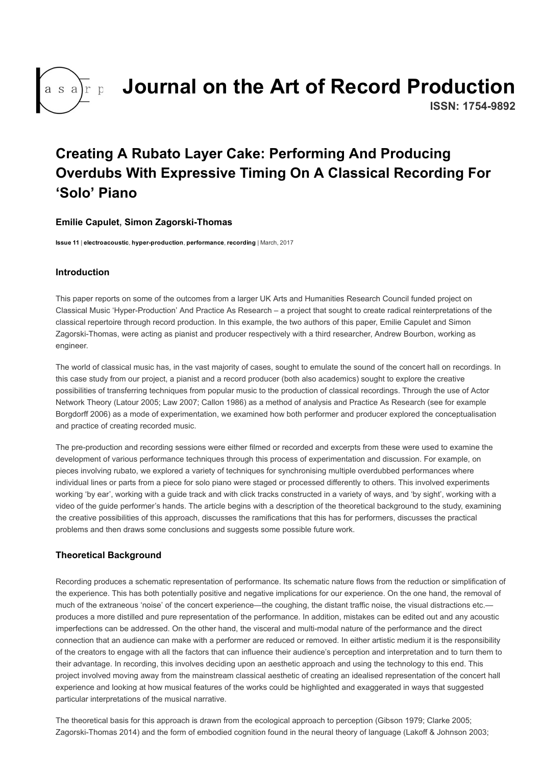

# [Journal on the Art of Record Production](http://arpjournal.com/)

ISSN: 1754-9892

# Creating A Rubato Layer Cake: Performing And Producing Overdubs With Expressive Timing On A Classical Recording For 'Solo' Piano

#### [Emilie Capulet](http://arpjournal.com/author/emilie-capulet/), Simon Zagorski-Thomas

[Issue 11](http://arpjournal.com/content/issue-11/) | [electroacoustic](http://arpjournal.com/theme/electroacoustic/), hyper-production, [performance](http://arpjournal.com/theme/performance/), [recording](http://arpjournal.com/theme/recording/) | March, 2017

#### Introduction

This paper reports on some of the outcomes from a larger UK Arts and Humanities Research Council funded project on Classical Music 'Hyper-Production' And Practice As Research – a project that sought to create radical reinterpretations of the classical repertoire through record production. In this example, the two authors of this paper, Emilie Capulet and Simon Zagorski-Thomas, were acting as pianist and producer respectively with a third researcher, Andrew Bourbon, working as engineer.

The world of classical music has, in the vast majority of cases, sought to emulate the sound of the concert hall on recordings. In this case study from our project, a pianist and a record producer (both also academics) sought to explore the creative possibilities of transferring techniques from popular music to the production of classical recordings. Through the use of Actor Network Theory (Latour 2005; Law 2007; Callon 1986) as a method of analysis and Practice As Research (see for example Borgdorff 2006) as a mode of experimentation, we examined how both performer and producer explored the conceptualisation and practice of creating recorded music.

The pre-production and recording sessions were either filmed or recorded and excerpts from these were used to examine the development of various performance techniques through this process of experimentation and discussion. For example, on pieces involving rubato, we explored a variety of techniques for synchronising multiple overdubbed performances where individual lines or parts from a piece for solo piano were staged or processed differently to others. This involved experiments working 'by ear', working with a guide track and with click tracks constructed in a variety of ways, and 'by sight', working with a video of the guide performer's hands. The article begins with a description of the theoretical background to the study, examining the creative possibilities of this approach, discusses the ramifications that this has for performers, discusses the practical problems and then draws some conclusions and suggests some possible future work.

# Theoretical Background

Recording produces a schematic representation of performance. Its schematic nature flows from the reduction or simplification of the experience. This has both potentially positive and negative implications for our experience. On the one hand, the removal of much of the extraneous 'noise' of the concert experience—the coughing, the distant traffic noise, the visual distractions etc. produces a more distilled and pure representation of the performance. In addition, mistakes can be edited out and any acoustic imperfections can be addressed. On the other hand, the visceral and multi-modal nature of the performance and the direct connection that an audience can make with a performer are reduced or removed. In either artistic medium it is the responsibility of the creators to engage with all the factors that can influence their audience's perception and interpretation and to turn them to their advantage. In recording, this involves deciding upon an aesthetic approach and using the technology to this end. This project involved moving away from the mainstream classical aesthetic of creating an idealised representation of the concert hall experience and looking at how musical features of the works could be highlighted and exaggerated in ways that suggested particular interpretations of the musical narrative.

The theoretical basis for this approach is drawn from the ecological approach to perception (Gibson 1979; Clarke 2005; Zagorski-Thomas 2014) and the form of embodied cognition found in the neural theory of language (Lakoff & Johnson 2003;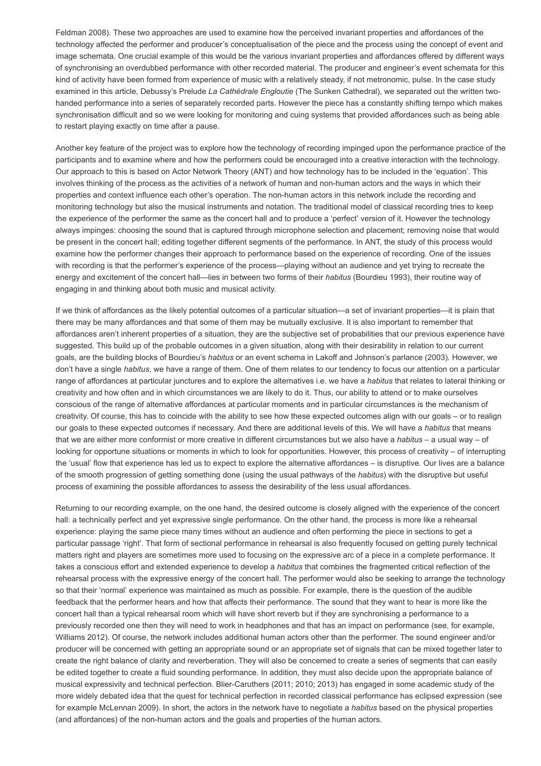Feldman 2008). These two approaches are used to examine how the perceived invariant properties and affordances of the technology affected the performer and producer's conceptualisation of the piece and the process using the concept of event and image schemata. One crucial example of this would be the various invariant properties and affordances offered by different ways of synchronising an overdubbed performance with other recorded material. The producer and engineer's event schemata for this kind of activity have been formed from experience of music with a relatively steady, if not metronomic, pulse. In the case study examined in this article, Debussy's Prelude La Cathédrale Engloutie (The Sunken Cathedral), we separated out the written twohanded performance into a series of separately recorded parts. However the piece has a constantly shifting tempo which makes synchronisation difficult and so we were looking for monitoring and cuing systems that provided affordances such as being able to restart playing exactly on time after a pause.

Another key feature of the project was to explore how the technology of recording impinged upon the performance practice of the participants and to examine where and how the performers could be encouraged into a creative interaction with the technology. Our approach to this is based on Actor Network Theory (ANT) and how technology has to be included in the 'equation'. This involves thinking of the process as the activities of a network of human and non-human actors and the ways in which their properties and context influence each other's operation. The non-human actors in this network include the recording and monitoring technology but also the musical instruments and notation. The traditional model of classical recording tries to keep the experience of the performer the same as the concert hall and to produce a 'perfect' version of it. However the technology always impinges: choosing the sound that is captured through microphone selection and placement; removing noise that would be present in the concert hall; editing together different segments of the performance. In ANT, the study of this process would examine how the performer changes their approach to performance based on the experience of recording. One of the issues with recording is that the performer's experience of the process—playing without an audience and yet trying to recreate the energy and excitement of the concert hall—lies in between two forms of their habitus (Bourdieu 1993), their routine way of engaging in and thinking about both music and musical activity.

If we think of affordances as the likely potential outcomes of a particular situation—a set of invariant properties—it is plain that there may be many affordances and that some of them may be mutually exclusive. It is also important to remember that affordances aren't inherent properties of a situation, they are the subjective set of probabilities that our previous experience have suggested. This build up of the probable outcomes in a given situation, along with their desirability in relation to our current goals, are the building blocks of Bourdieu's habitus or an event schema in Lakoff and Johnson's parlance (2003). However, we don't have a single habitus, we have a range of them. One of them relates to our tendency to focus our attention on a particular range of affordances at particular junctures and to explore the alternatives i.e. we have a habitus that relates to lateral thinking or creativity and how often and in which circumstances we are likely to do it. Thus, our ability to attend or to make ourselves conscious of the range of alternative affordances at particular moments and in particular circumstances is the mechanism of creativity. Of course, this has to coincide with the ability to see how these expected outcomes align with our goals – or to realign our goals to these expected outcomes if necessary. And there are additional levels of this. We will have a habitus that means that we are either more conformist or more creative in different circumstances but we also have a habitus – a usual way – of looking for opportune situations or moments in which to look for opportunities. However, this process of creativity – of interrupting the 'usual' flow that experience has led us to expect to explore the alternative affordances – is disruptive. Our lives are a balance of the smooth progression of getting something done (using the usual pathways of the habitus) with the disruptive but useful process of examining the possible affordances to assess the desirability of the less usual affordances.

Returning to our recording example, on the one hand, the desired outcome is closely aligned with the experience of the concert hall: a technically perfect and yet expressive single performance. On the other hand, the process is more like a rehearsal experience: playing the same piece many times without an audience and often performing the piece in sections to get a particular passage 'right'. That form of sectional performance in rehearsal is also frequently focused on getting purely technical matters right and players are sometimes more used to focusing on the expressive arc of a piece in a complete performance. It takes a conscious effort and extended experience to develop a habitus that combines the fragmented critical reflection of the rehearsal process with the expressive energy of the concert hall. The performer would also be seeking to arrange the technology so that their 'normal' experience was maintained as much as possible. For example, there is the question of the audible feedback that the performer hears and how that affects their performance. The sound that they want to hear is more like the concert hall than a typical rehearsal room which will have short reverb but if they are synchronising a performance to a previously recorded one then they will need to work in headphones and that has an impact on performance (see, for example, Williams 2012). Of course, the network includes additional human actors other than the performer. The sound engineer and/or producer will be concerned with getting an appropriate sound or an appropriate set of signals that can be mixed together later to create the right balance of clarity and reverberation. They will also be concerned to create a series of segments that can easily be edited together to create a fluid sounding performance. In addition, they must also decide upon the appropriate balance of musical expressivity and technical perfection. Blier-Caruthers (2011; 2010; 2013) has engaged in some academic study of the more widely debated idea that the quest for technical perfection in recorded classical performance has eclipsed expression (see for example McLennan 2009). In short, the actors in the network have to negotiate a habitus based on the physical properties (and affordances) of the non-human actors and the goals and properties of the human actors.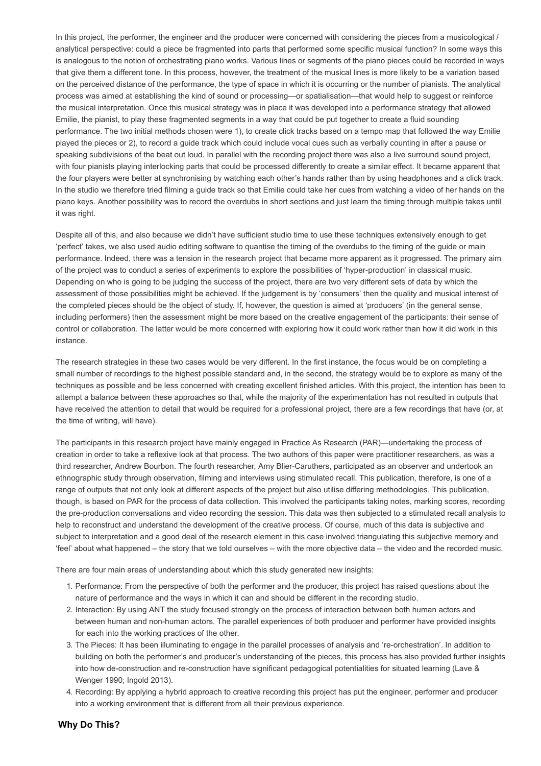In this project, the performer, the engineer and the producer were concerned with considering the pieces from a musicological / analytical perspective: could a piece be fragmented into parts that performed some specific musical function? In some ways this is analogous to the notion of orchestrating piano works. Various lines or segments of the piano pieces could be recorded in ways that give them a different tone. In this process, however, the treatment of the musical lines is more likely to be a variation based on the perceived distance of the performance, the type of space in which it is occurring or the number of pianists. The analytical process was aimed at establishing the kind of sound or processing—or spatialisation—that would help to suggest or reinforce the musical interpretation. Once this musical strategy was in place it was developed into a performance strategy that allowed Emilie, the pianist, to play these fragmented segments in a way that could be put together to create a fluid sounding performance. The two initial methods chosen were 1), to create click tracks based on a tempo map that followed the way Emilie played the pieces or 2), to record a guide track which could include vocal cues such as verbally counting in after a pause or speaking subdivisions of the beat out loud. In parallel with the recording project there was also a live surround sound project, with four pianists playing interlocking parts that could be processed differently to create a similar effect. It became apparent that the four players were better at synchronising by watching each other's hands rather than by using headphones and a click track. In the studio we therefore tried filming a guide track so that Emilie could take her cues from watching a video of her hands on the piano keys. Another possibility was to record the overdubs in short sections and just learn the timing through multiple takes until it was right.

Despite all of this, and also because we didn't have sufficient studio time to use these techniques extensively enough to get 'perfect' takes, we also used audio editing software to quantise the timing of the overdubs to the timing of the guide or main performance. Indeed, there was a tension in the research project that became more apparent as it progressed. The primary aim of the project was to conduct a series of experiments to explore the possibilities of 'hyper-production' in classical music. Depending on who is going to be judging the success of the project, there are two very different sets of data by which the assessment of those possibilities might be achieved. If the judgement is by 'consumers' then the quality and musical interest of the completed pieces should be the object of study. If, however, the question is aimed at 'producers' (in the general sense, including performers) then the assessment might be more based on the creative engagement of the participants: their sense of control or collaboration. The latter would be more concerned with exploring how it could work rather than how it did work in this instance.

The research strategies in these two cases would be very different. In the first instance, the focus would be on completing a small number of recordings to the highest possible standard and, in the second, the strategy would be to explore as many of the techniques as possible and be less concerned with creating excellent finished articles. With this project, the intention has been to attempt a balance between these approaches so that, while the majority of the experimentation has not resulted in outputs that have received the attention to detail that would be required for a professional project, there are a few recordings that have (or, at the time of writing, will have).

The participants in this research project have mainly engaged in Practice As Research (PAR)—undertaking the process of creation in order to take a reflexive look at that process. The two authors of this paper were practitioner researchers, as was a third researcher, Andrew Bourbon. The fourth researcher, Amy Blier-Caruthers, participated as an observer and undertook an ethnographic study through observation, filming and interviews using stimulated recall. This publication, therefore, is one of a range of outputs that not only look at different aspects of the project but also utilise differing methodologies. This publication, though, is based on PAR for the process of data collection. This involved the participants taking notes, marking scores, recording the pre-production conversations and video recording the session. This data was then subjected to a stimulated recall analysis to help to reconstruct and understand the development of the creative process. Of course, much of this data is subjective and subject to interpretation and a good deal of the research element in this case involved triangulating this subjective memory and 'feel' about what happened – the story that we told ourselves – with the more objective data – the video and the recorded music.

There are four main areas of understanding about which this study generated new insights:

- 1. Performance: From the perspective of both the performer and the producer, this project has raised questions about the nature of performance and the ways in which it can and should be different in the recording studio.
- 2. Interaction: By using ANT the study focused strongly on the process of interaction between both human actors and between human and non-human actors. The parallel experiences of both producer and performer have provided insights for each into the working practices of the other.
- 3. The Pieces: It has been illuminating to engage in the parallel processes of analysis and 're-orchestration'. In addition to building on both the performer's and producer's understanding of the pieces, this process has also provided further insights into how de-construction and re-construction have significant pedagogical potentialities for situated learning (Lave & Wenger 1990; Ingold 2013).
- 4. Recording: By applying a hybrid approach to creative recording this project has put the engineer, performer and producer into a working environment that is different from all their previous experience.

#### Why Do This?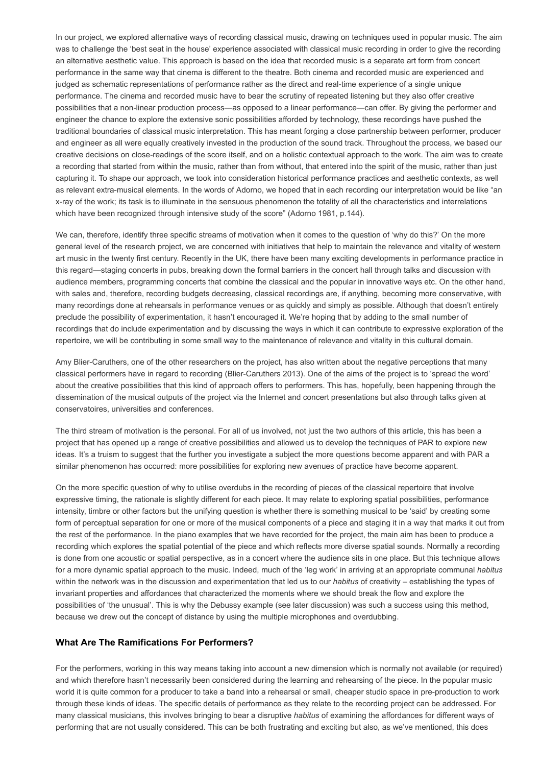In our project, we explored alternative ways of recording classical music, drawing on techniques used in popular music. The aim was to challenge the 'best seat in the house' experience associated with classical music recording in order to give the recording an alternative aesthetic value. This approach is based on the idea that recorded music is a separate art form from concert performance in the same way that cinema is different to the theatre. Both cinema and recorded music are experienced and judged as schematic representations of performance rather as the direct and real-time experience of a single unique performance. The cinema and recorded music have to bear the scrutiny of repeated listening but they also offer creative possibilities that a non-linear production process—as opposed to a linear performance—can offer. By giving the performer and engineer the chance to explore the extensive sonic possibilities afforded by technology, these recordings have pushed the traditional boundaries of classical music interpretation. This has meant forging a close partnership between performer, producer and engineer as all were equally creatively invested in the production of the sound track. Throughout the process, we based our creative decisions on closereadings of the score itself, and on a holistic contextual approach to the work. The aim was to create a recording that started from within the music, rather than from without, that entered into the spirit of the music, rather than just capturing it. To shape our approach, we took into consideration historical performance practices and aesthetic contexts, as well as relevant extra-musical elements. In the words of Adorno, we hoped that in each recording our interpretation would be like "an xray of the work; its task is to illuminate in the sensuous phenomenon the totality of all the characteristics and interrelations which have been recognized through intensive study of the score" (Adorno 1981, p.144).

We can, therefore, identify three specific streams of motivation when it comes to the question of 'why do this?' On the more general level of the research project, we are concerned with initiatives that help to maintain the relevance and vitality of western art music in the twenty first century. Recently in the UK, there have been many exciting developments in performance practice in this regard—staging concerts in pubs, breaking down the formal barriers in the concert hall through talks and discussion with audience members, programming concerts that combine the classical and the popular in innovative ways etc. On the other hand, with sales and, therefore, recording budgets decreasing, classical recordings are, if anything, becoming more conservative, with many recordings done at rehearsals in performance venues or as quickly and simply as possible. Although that doesn't entirely preclude the possibility of experimentation, it hasn't encouraged it. We're hoping that by adding to the small number of recordings that do include experimentation and by discussing the ways in which it can contribute to expressive exploration of the repertoire, we will be contributing in some small way to the maintenance of relevance and vitality in this cultural domain.

Amy Blier-Caruthers, one of the other researchers on the project, has also written about the negative perceptions that many classical performers have in regard to recording (Blier-Caruthers 2013). One of the aims of the project is to 'spread the word' about the creative possibilities that this kind of approach offers to performers. This has, hopefully, been happening through the dissemination of the musical outputs of the project via the Internet and concert presentations but also through talks given at conservatoires, universities and conferences.

The third stream of motivation is the personal. For all of us involved, not just the two authors of this article, this has been a project that has opened up a range of creative possibilities and allowed us to develop the techniques of PAR to explore new ideas. It's a truism to suggest that the further you investigate a subject the more questions become apparent and with PAR a similar phenomenon has occurred: more possibilities for exploring new avenues of practice have become apparent.

On the more specific question of why to utilise overdubs in the recording of pieces of the classical repertoire that involve expressive timing, the rationale is slightly different for each piece. It may relate to exploring spatial possibilities, performance intensity, timbre or other factors but the unifying question is whether there is something musical to be 'said' by creating some form of perceptual separation for one or more of the musical components of a piece and staging it in a way that marks it out from the rest of the performance. In the piano examples that we have recorded for the project, the main aim has been to produce a recording which explores the spatial potential of the piece and which reflects more diverse spatial sounds. Normally a recording is done from one acoustic or spatial perspective, as in a concert where the audience sits in one place. But this technique allows for a more dynamic spatial approach to the music. Indeed, much of the 'leg work' in arriving at an appropriate communal habitus within the network was in the discussion and experimentation that led us to our habitus of creativity – establishing the types of invariant properties and affordances that characterized the moments where we should break the flow and explore the possibilities of 'the unusual'. This is why the Debussy example (see later discussion) was such a success using this method, because we drew out the concept of distance by using the multiple microphones and overdubbing.

#### What Are The Ramifications For Performers?

For the performers, working in this way means taking into account a new dimension which is normally not available (or required) and which therefore hasn't necessarily been considered during the learning and rehearsing of the piece. In the popular music world it is quite common for a producer to take a band into a rehearsal or small, cheaper studio space in pre-production to work through these kinds of ideas. The specific details of performance as they relate to the recording project can be addressed. For many classical musicians, this involves bringing to bear a disruptive habitus of examining the affordances for different ways of performing that are not usually considered. This can be both frustrating and exciting but also, as we've mentioned, this does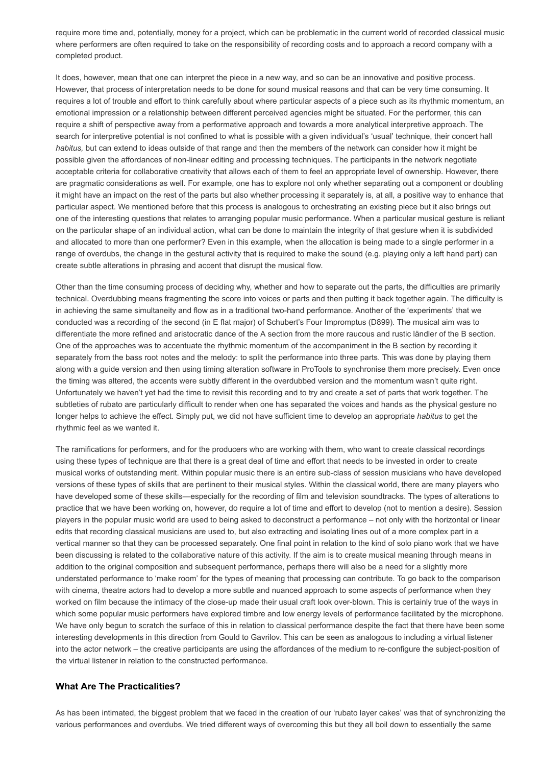require more time and, potentially, money for a project, which can be problematic in the current world of recorded classical music where performers are often required to take on the responsibility of recording costs and to approach a record company with a completed product.

It does, however, mean that one can interpret the piece in a new way, and so can be an innovative and positive process. However, that process of interpretation needs to be done for sound musical reasons and that can be very time consuming. It requires a lot of trouble and effort to think carefully about where particular aspects of a piece such as its rhythmic momentum, an emotional impression or a relationship between different perceived agencies might be situated. For the performer, this can require a shift of perspective away from a performative approach and towards a more analytical interpretive approach. The search for interpretive potential is not confined to what is possible with a given individual's 'usual' technique, their concert hall habitus, but can extend to ideas outside of that range and then the members of the network can consider how it might be possible given the affordances of non-linear editing and processing techniques. The participants in the network negotiate acceptable criteria for collaborative creativity that allows each of them to feel an appropriate level of ownership. However, there are pragmatic considerations as well. For example, one has to explore not only whether separating out a component or doubling it might have an impact on the rest of the parts but also whether processing it separately is, at all, a positive way to enhance that particular aspect. We mentioned before that this process is analogous to orchestrating an existing piece but it also brings out one of the interesting questions that relates to arranging popular music performance. When a particular musical gesture is reliant on the particular shape of an individual action, what can be done to maintain the integrity of that gesture when it is subdivided and allocated to more than one performer? Even in this example, when the allocation is being made to a single performer in a range of overdubs, the change in the gestural activity that is required to make the sound (e.g. playing only a left hand part) can create subtle alterations in phrasing and accent that disrupt the musical flow.

Other than the time consuming process of deciding why, whether and how to separate out the parts, the difficulties are primarily technical. Overdubbing means fragmenting the score into voices or parts and then putting it back together again. The difficulty is in achieving the same simultaneity and flow as in a traditional two-hand performance. Another of the 'experiments' that we conducted was a recording of the second (in E flat major) of Schubert's Four Impromptus (D899). The musical aim was to differentiate the more refined and aristocratic dance of the A section from the more raucous and rustic ländler of the B section. One of the approaches was to accentuate the rhythmic momentum of the accompaniment in the B section by recording it separately from the bass root notes and the melody: to split the performance into three parts. This was done by playing them along with a guide version and then using timing alteration software in ProTools to synchronise them more precisely. Even once the timing was altered, the accents were subtly different in the overdubbed version and the momentum wasn't quite right. Unfortunately we haven't yet had the time to revisit this recording and to try and create a set of parts that work together. The subtleties of rubato are particularly difficult to render when one has separated the voices and hands as the physical gesture no longer helps to achieve the effect. Simply put, we did not have sufficient time to develop an appropriate habitus to get the rhythmic feel as we wanted it.

The ramifications for performers, and for the producers who are working with them, who want to create classical recordings using these types of technique are that there is a great deal of time and effort that needs to be invested in order to create musical works of outstanding merit. Within popular music there is an entire sub-class of session musicians who have developed versions of these types of skills that are pertinent to their musical styles. Within the classical world, there are many players who have developed some of these skills—especially for the recording of film and television soundtracks. The types of alterations to practice that we have been working on, however, do require a lot of time and effort to develop (not to mention a desire). Session players in the popular music world are used to being asked to deconstruct a performance – not only with the horizontal or linear edits that recording classical musicians are used to, but also extracting and isolating lines out of a more complex part in a vertical manner so that they can be processed separately. One final point in relation to the kind of solo piano work that we have been discussing is related to the collaborative nature of this activity. If the aim is to create musical meaning through means in addition to the original composition and subsequent performance, perhaps there will also be a need for a slightly more understated performance to 'make room' for the types of meaning that processing can contribute. To go back to the comparison with cinema, theatre actors had to develop a more subtle and nuanced approach to some aspects of performance when they worked on film because the intimacy of the close-up made their usual craft look over-blown. This is certainly true of the ways in which some popular music performers have explored timbre and low energy levels of performance facilitated by the microphone. We have only begun to scratch the surface of this in relation to classical performance despite the fact that there have been some interesting developments in this direction from Gould to Gavrilov. This can be seen as analogous to including a virtual listener into the actor network – the creative participants are using the affordances of the medium to re-configure the subject-position of the virtual listener in relation to the constructed performance.

#### What Are The Practicalities?

As has been intimated, the biggest problem that we faced in the creation of our 'rubato layer cakes' was that of synchronizing the various performances and overdubs. We tried different ways of overcoming this but they all boil down to essentially the same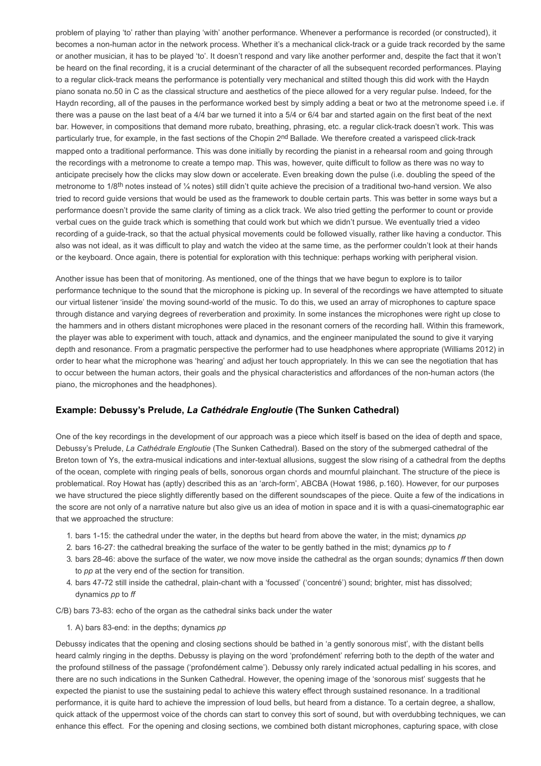problem of playing 'to' rather than playing 'with' another performance. Whenever a performance is recorded (or constructed), it becomes a non-human actor in the network process. Whether it's a mechanical click-track or a guide track recorded by the same or another musician, it has to be played 'to'. It doesn't respond and vary like another performer and, despite the fact that it won't be heard on the final recording, it is a crucial determinant of the character of all the subsequent recorded performances. Playing to a regular click-track means the performance is potentially very mechanical and stilted though this did work with the Haydn piano sonata no.50 in C as the classical structure and aesthetics of the piece allowed for a very regular pulse. Indeed, for the Haydn recording, all of the pauses in the performance worked best by simply adding a beat or two at the metronome speed i.e. if there was a pause on the last beat of a 4/4 bar we turned it into a 5/4 or 6/4 bar and started again on the first beat of the next bar. However, in compositions that demand more rubato, breathing, phrasing, etc. a regular click-track doesn't work. This was particularly true, for example, in the fast sections of the Chopin 2<sup>nd</sup> Ballade. We therefore created a varispeed click-track mapped onto a traditional performance. This was done initially by recording the pianist in a rehearsal room and going through the recordings with a metronome to create a tempo map. This was, however, quite difficult to follow as there was no way to anticipate precisely how the clicks may slow down or accelerate. Even breaking down the pulse (i.e. doubling the speed of the metronome to 1/8<sup>th</sup> notes instead of ¼ notes) still didn't quite achieve the precision of a traditional two-hand version. We also tried to record guide versions that would be used as the framework to double certain parts. This was better in some ways but a performance doesn't provide the same clarity of timing as a click track. We also tried getting the performer to count or provide verbal cues on the guide track which is something that could work but which we didn't pursue. We eventually tried a video recording of a guide-track, so that the actual physical movements could be followed visually, rather like having a conductor. This also was not ideal, as it was difficult to play and watch the video at the same time, as the performer couldn't look at their hands or the keyboard. Once again, there is potential for exploration with this technique: perhaps working with peripheral vision.

Another issue has been that of monitoring. As mentioned, one of the things that we have begun to explore is to tailor performance technique to the sound that the microphone is picking up. In several of the recordings we have attempted to situate our virtual listener 'inside' the moving sound-world of the music. To do this, we used an array of microphones to capture space through distance and varying degrees of reverberation and proximity. In some instances the microphones were right up close to the hammers and in others distant microphones were placed in the resonant corners of the recording hall. Within this framework, the player was able to experiment with touch, attack and dynamics, and the engineer manipulated the sound to give it varying depth and resonance. From a pragmatic perspective the performer had to use headphones where appropriate (Williams 2012) in order to hear what the microphone was 'hearing' and adjust her touch appropriately. In this we can see the negotiation that has to occur between the human actors, their goals and the physical characteristics and affordances of the non-human actors (the piano, the microphones and the headphones).

#### Example: Debussy's Prelude, La Cathédrale Engloutie (The Sunken Cathedral)

One of the key recordings in the development of our approach was a piece which itself is based on the idea of depth and space, Debussy's Prelude, La Cathédrale Engloutie (The Sunken Cathedral). Based on the story of the submerged cathedral of the Breton town of Ys, the extra-musical indications and inter-textual allusions, suggest the slow rising of a cathedral from the depths of the ocean, complete with ringing peals of bells, sonorous organ chords and mournful plainchant. The structure of the piece is problematical. Roy Howat has (aptly) described this as an 'arch-form', ABCBA (Howat 1986, p.160). However, for our purposes we have structured the piece slightly differently based on the different soundscapes of the piece. Quite a few of the indications in the score are not only of a narrative nature but also give us an idea of motion in space and it is with a quasi-cinematographic ear that we approached the structure:

- 1. bars 1-15: the cathedral under the water, in the depths but heard from above the water, in the mist; dynamics pp
- 2. bars 16-27: the cathedral breaking the surface of the water to be gently bathed in the mist; dynamics pp to f
- 3. bars 2846: above the surface of the water, we now move inside the cathedral as the organ sounds; dynamics ff then down to *pp* at the very end of the section for transition.
- 4. bars 47-72 still inside the cathedral, plain-chant with a 'focussed' ('concentré') sound; brighter, mist has dissolved; dynamics pp to ff
- C/B) bars 73-83: echo of the organ as the cathedral sinks back under the water
	- 1. A) bars 83-end: in the depths; dynamics  $pp$

Debussy indicates that the opening and closing sections should be bathed in 'a gently sonorous mist', with the distant bells heard calmly ringing in the depths. Debussy is playing on the word 'profondément' referring both to the depth of the water and the profound stillness of the passage ('profondément calme'). Debussy only rarely indicated actual pedalling in his scores, and there are no such indications in the Sunken Cathedral. However, the opening image of the 'sonorous mist' suggests that he expected the pianist to use the sustaining pedal to achieve this watery effect through sustained resonance. In a traditional performance, it is quite hard to achieve the impression of loud bells, but heard from a distance. To a certain degree, a shallow, quick attack of the uppermost voice of the chords can start to convey this sort of sound, but with overdubbing techniques, we can enhance this effect. For the opening and closing sections, we combined both distant microphones, capturing space, with close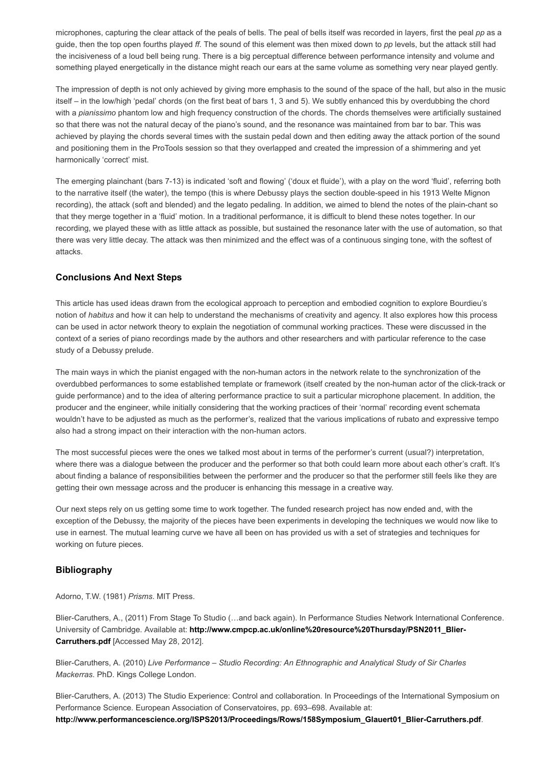microphones, capturing the clear attack of the peals of bells. The peal of bells itself was recorded in layers, first the peal pp as a guide, then the top open fourths played ff. The sound of this element was then mixed down to pp levels, but the attack still had the incisiveness of a loud bell being rung. There is a big perceptual difference between performance intensity and volume and something played energetically in the distance might reach our ears at the same volume as something very near played gently.

The impression of depth is not only achieved by giving more emphasis to the sound of the space of the hall, but also in the music itself – in the low/high 'pedal' chords (on the first beat of bars 1, 3 and 5). We subtly enhanced this by overdubbing the chord with a *pianissimo* phantom low and high frequency construction of the chords. The chords themselves were artificially sustained so that there was not the natural decay of the piano's sound, and the resonance was maintained from bar to bar. This was achieved by playing the chords several times with the sustain pedal down and then editing away the attack portion of the sound and positioning them in the ProTools session so that they overlapped and created the impression of a shimmering and yet harmonically 'correct' mist.

The emerging plainchant (bars 713) is indicated 'soft and flowing' ('doux et fluide'), with a play on the word 'fluid', referring both to the narrative itself (the water), the tempo (this is where Debussy plays the section double-speed in his 1913 Welte Mignon recording), the attack (soft and blended) and the legato pedaling. In addition, we aimed to blend the notes of the plain-chant so that they merge together in a 'fluid' motion. In a traditional performance, it is difficult to blend these notes together. In our recording, we played these with as little attack as possible, but sustained the resonance later with the use of automation, so that there was very little decay. The attack was then minimized and the effect was of a continuous singing tone, with the softest of attacks.

# Conclusions And Next Steps

This article has used ideas drawn from the ecological approach to perception and embodied cognition to explore Bourdieu's notion of habitus and how it can help to understand the mechanisms of creativity and agency. It also explores how this process can be used in actor network theory to explain the negotiation of communal working practices. These were discussed in the context of a series of piano recordings made by the authors and other researchers and with particular reference to the case study of a Debussy prelude.

The main ways in which the pianist engaged with the non-human actors in the network relate to the synchronization of the overdubbed performances to some established template or framework (itself created by the non-human actor of the click-track or guide performance) and to the idea of altering performance practice to suit a particular microphone placement. In addition, the producer and the engineer, while initially considering that the working practices of their 'normal' recording event schemata wouldn't have to be adjusted as much as the performer's, realized that the various implications of rubato and expressive tempo also had a strong impact on their interaction with the non-human actors.

The most successful pieces were the ones we talked most about in terms of the performer's current (usual?) interpretation, where there was a dialogue between the producer and the performer so that both could learn more about each other's craft. It's about finding a balance of responsibilities between the performer and the producer so that the performer still feels like they are getting their own message across and the producer is enhancing this message in a creative way.

Our next steps rely on us getting some time to work together. The funded research project has now ended and, with the exception of the Debussy, the majority of the pieces have been experiments in developing the techniques we would now like to use in earnest. The mutual learning curve we have all been on has provided us with a set of strategies and techniques for working on future pieces.

# Bibliography

Adorno, T.W. (1981) Prisms. MIT Press.

Blier-Caruthers, A., (2011) From Stage To Studio (...and back again). In Performance Studies Network International Conference. University of Cambridge. Available at: [http://www.cmpcp.ac.uk/online%20resource%20Thursday/PSN2011\\_Blier-](http://www.cmpcp.ac.uk/online%20resource%20Thursday/PSN2011_Blier-Carruthers.pdf)Carruthers.pdf [Accessed May 28, 2012].

Blier-Caruthers, A. (2010) Live Performance – Studio Recording: An Ethnographic and Analytical Study of Sir Charles Mackerras. PhD. Kings College London.

Blier-Caruthers, A. (2013) The Studio Experience: Control and collaboration. In Proceedings of the International Symposium on Performance Science. European Association of Conservatoires, pp. 693–698. Available at: http://www.performancescience.org/ISPS2013/Proceedings/Rows/158Symposium\_Glauert01\_Blier-Carruthers.pdf.